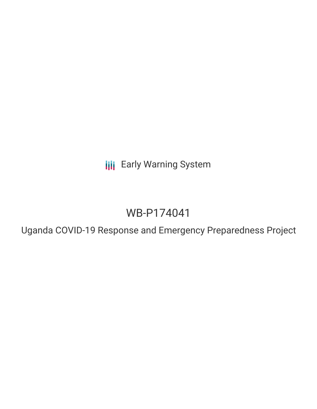**III** Early Warning System

# WB-P174041

Uganda COVID-19 Response and Emergency Preparedness Project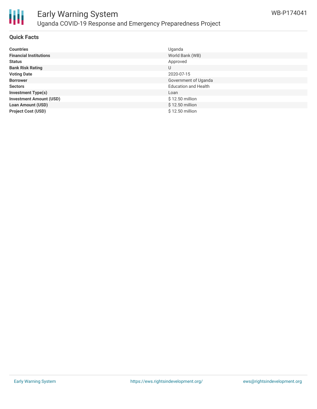

#### **Quick Facts**

| <b>Countries</b>               | Uganda                      |
|--------------------------------|-----------------------------|
| <b>Financial Institutions</b>  | World Bank (WB)             |
| <b>Status</b>                  | Approved                    |
| <b>Bank Risk Rating</b>        | U                           |
| <b>Voting Date</b>             | 2020-07-15                  |
| <b>Borrower</b>                | Government of Uganda        |
| <b>Sectors</b>                 | <b>Education and Health</b> |
| <b>Investment Type(s)</b>      | Loan                        |
| <b>Investment Amount (USD)</b> | \$12.50 million             |
| <b>Loan Amount (USD)</b>       | \$12.50 million             |
| <b>Project Cost (USD)</b>      | \$12.50 million             |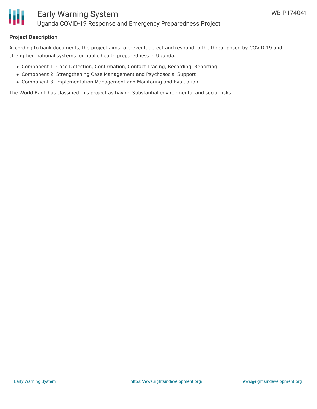

### **Project Description**

According to bank documents, the project aims to prevent, detect and respond to the threat posed by COVID-19 and strengthen national systems for public health preparedness in Uganda.

- Component 1: Case Detection, Confirmation, Contact Tracing, Recording, Reporting
- Component 2: Strengthening Case Management and Psychosocial Support
- Component 3: Implementation Management and Monitoring and Evaluation

The World Bank has classified this project as having Substantial environmental and social risks.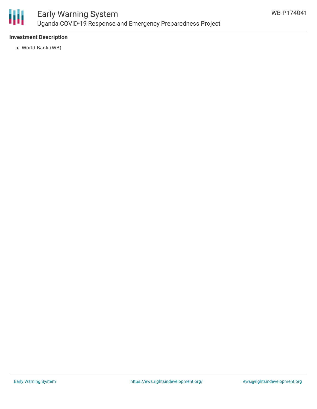

### **Investment Description**

World Bank (WB)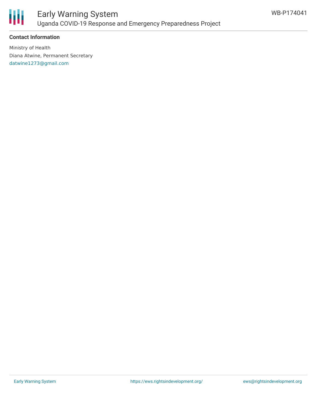

### **Contact Information**

Ministry of Health Diana Atwine, Permanent Secretary [datwine1273@gmail.com](mailto:datwine1273@gmail.com)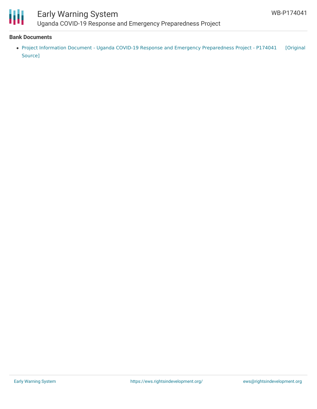

## Early Warning System Uganda COVID-19 Response and Emergency Preparedness Project

#### **Bank Documents**

Project Information Document - Uganda COVID-19 Response and Emergency [Preparedness](https://ewsdata.rightsindevelopment.org/files/documents/41/WB-P174041.pdf) Project - P174041 [Original Source]